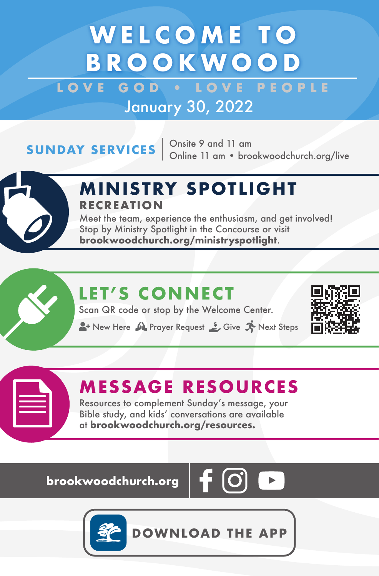# **WELCOME TO BROOKWOOD**

LOVE GOD · LOVE PEOPLE January 30, 2022

**SUNDAY SERVICES**  $\begin{array}{r}$  Onsite 9 and 11 am<br>Online 11 am • brookwoodchurch.org/live



### **M IN ISTRY SPOTL IGHT RECREATION**

Meet the team, experience the enthusiasm, and get involved! Stop by Ministry Spotlight in the Concourse or visit **brookwoodchurch.org/ministryspotlight**.

## **LET'S CONNECT**

Scan QR code or stop by the Welcome Center.

**A**+ New Here  $\mathbf{M}$  Prayer Request  $\mathbf{S}$  Give  $\mathbf{N}$  Next Steps



### **MESSAGE RESOURCES**

Resources to complement Sunday's message, your Bible study, and kids' conversations are available at **brookwoodchurch.org/resources.**

**brookwoodchurch.org** 





**DOWNLOAD THE APP**